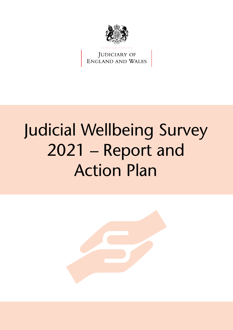

JUDICIARY OF<br>ENGLAND AND WALES

# Judicial Wellbeing Survey 2021 – Report and Action Plan

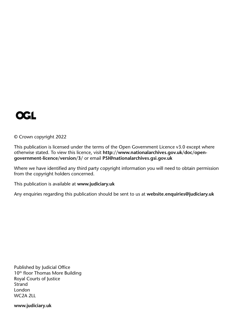

© Crown copyright 2022

This publication is licensed under the terms of the Open Government Licence v3.0 except where otherwise stated. To view this licence, visit **[http://www.nationalarchives.gov.uk/doc/open](http://bit.ly/1DUiDIh)[government-licence/version/3/](http://bit.ly/1DUiDIh)** or email **[PSI@nationalarchives.gsi.gov.uk](mailto:PSI%40nationalarchives.gsi.gov.uk%0D?subject=)**

Where we have identified any third party copyright information you will need to obtain permission from the copyright holders concerned.

This publication is available at **[www.judiciary.uk](https://www.judiciary.uk)**

Any enquiries regarding this publication should be sent to us at **[website.enquiries@judiciary.uk](mailto:website.enquiries%40judiciary.uk?subject=)**

Published by Judicial Office 10<sup>th</sup> floor Thomas More Building Royal Courts of Justice **Strand** London WC2A 2LL

**[www.judiciary.uk](http://www.judiciary.uk)**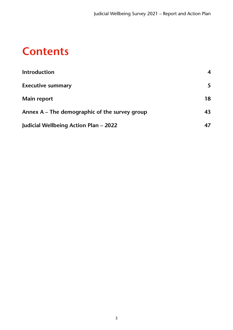## **Contents**

| <b>Introduction</b>                             | 4  |
|-------------------------------------------------|----|
| <b>Executive summary</b>                        | 5  |
| Main report                                     | 18 |
| Annex $A$ – The demographic of the survey group | 43 |
| Judicial Wellbeing Action Plan - 2022           | 47 |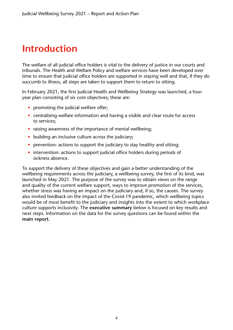## <span id="page-3-0"></span>**Introduction**

The welfare of all judicial office holders is vital to the delivery of justice in our courts and tribunals. The Health and Welfare Policy and welfare services have been developed over time to ensure that judicial office holders are supported in staying well and that, if they do succumb to illness, all steps are taken to support them to return to sitting.

In February 2021, the first Judicial Health and Wellbeing Strategy was launched, a fouryear plan consisting of six core objectives; these are:

- promoting the judicial welfare offer;
- centralising welfare information and having a visible and clear route for access to services;
- raising awareness of the importance of mental wellbeing;
- building an inclusive culture across the judiciary;
- prevention: actions to support the judiciary to stay healthy and sitting;
- intervention: actions to support judicial office holders during periods of sickness absence.

To support the delivery of these objectives and gain a better understanding of the wellbeing requirements across the judiciary, a wellbeing survey, the first of its kind, was launched in May 2021. The purpose of the survey was to obtain views on the range and quality of the current welfare support, ways to improve promotion of the services, whether stress was having an impact on the judiciary and, if so, the causes. The survey also invited feedback on the impact of the Covid-19 pandemic, which wellbeing topics would be of most benefit to the judiciary and insights into the extent to which workplace culture supports inclusivity. The **[executive summary](#page-4-1)** below is focused on key results and next steps. Information on the data for the survey questions can be found within the **[main report](#page-17-1)**.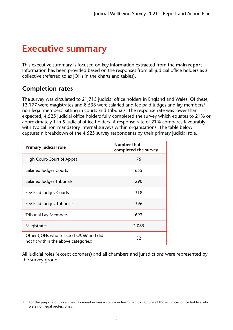## <span id="page-4-1"></span><span id="page-4-0"></span>**Executive summary**

This executive summary is focused on key information extracted from the **[main report](#page-17-1)**. Information has been provided based on the responses from all judicial office holders as a collective (referred to as JOHs in the charts and tables).

## **Completion rates**

The survey was circulated to 21,713 judicial office holders in England and Wales. Of these, 13,177 were magistrates and 8,536 were salaried and fee paid judges and lay members/ non legal members<sup>1</sup> sitting in courts and tribunals. The response rate was lower than expected, 4,525 judicial office holders fully completed the survey which equates to 21% or approximately 1 in 5 judicial office holders. A response rate of 21% compares favourably with typical non-mandatory internal surveys within organisations. The table below captures a breakdown of the 4,525 survey respondents by their primary judicial role.

| Primary judicial role                                                          | Number that<br>completed the survey |
|--------------------------------------------------------------------------------|-------------------------------------|
| High Court/Court of Appeal                                                     | 76                                  |
| <b>Salaried Judges Courts</b>                                                  | 655                                 |
| Salaried Judges Tribunals                                                      | 290                                 |
| Fee Paid Judges Courts                                                         | 318                                 |
| Fee Paid Judges Tribunals                                                      | 396                                 |
| <b>Tribunal Lay Members</b>                                                    | 693                                 |
| Magistrates                                                                    | 2,065                               |
| Other (JOHs who selected Other and did<br>not fit within the above categories) | 32                                  |

All judicial roles (except coroners) and all chambers and jurisdictions were represented by the survey group.

<sup>1</sup> For the purpose of this survey, lay member was a common term used to capture all those judicial office holders who were non legal professionals.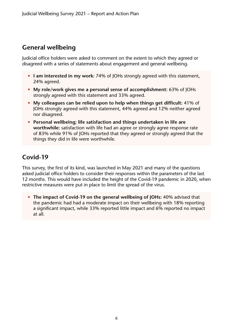## **General wellbeing**

Judicial office holders were asked to comment on the extent to which they agreed or disagreed with a series of statements about engagement and general wellbeing.

- **I am interested in my work:** 74% of JOHs strongly agreed with this statement, 24% agreed.
- **My role/work gives me a personal sense of accomplishment:** 63% of JOHs strongly agreed with this statement and 33% agreed.
- **My colleagues can be relied upon to help when things get difficult:** 41% of JOHs strongly agreed with this statement, 44% agreed and 12% neither agreed nor disagreed.
- **Personal wellbeing; life satisfaction and things undertaken in life are worthwhile:** satisfaction with life had an agree or strongly agree response rate of 83% while 91% of JOHs reported that they agreed or strongly agreed that the things they did in life were worthwhile.

## **Covid-19**

This survey, the first of its kind, was launched in May 2021 and many of the questions asked judicial office holders to consider their responses within the parameters of the last 12 months. This would have included the height of the Covid-19 pandemic in 2020, when restrictive measures were put in place to limit the spread of the virus.

• **The impact of Covid-19 on the general wellbeing of JOHs:** 40% advised that the pandemic had had a moderate impact on their wellbeing with 18% reporting a significant impact, while 33% reported little impact and 6% reported no impact at all.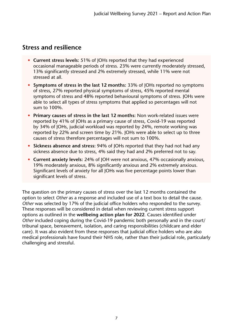## **Stress and resilience**

- **Current stress levels:** 51% of JOHs reported that they had experienced occasional manageable periods of stress. 23% were currently moderately stressed, 13% significantly stressed and 2% extremely stressed, while 11% were not stressed at all.
- **Symptoms of stress in the last 12 months:** 33% of JOHs reported no symptoms of stress, 27% reported physical symptoms of stress, 45% reported mental symptoms of stress and 48% reported behavioural symptoms of stress. JOHs were able to select all types of stress symptoms that applied so percentages will not sum to 100%.
- **Primary causes of stress in the last 12 months:** Non work-related issues were reported by 41% of JOHs as a primary cause of stress, Covid-19 was reported by 34% of JOHs, judicial workload was reported by 24%, remote working was reported by 22% and screen time by 21%. JOHs were able to select up to three causes of stress therefore percentages will not sum to 100%.
- **Sickness absence and stress:** 94% of JOHs reported that they had not had any sickness absence due to stress, 4% said they had and 2% preferred not to say.
- **Current anxiety levels:** 24% of JOH were not anxious, 47% occasionally anxious, 19% moderately anxious, 8% significantly anxious and 2% extremely anxious. Significant levels of anxiety for all JOHs was five percentage points lower than significant levels of stress.

The question on the primary causes of stress over the last 12 months contained the option to select *Other* as a response and included use of a text box to detail the cause. *Other* was selected by 17% of the judicial office holders who responded to the survey. These responses will be considered in detail when reviewing current stress support options as outlined in the **[wellbeing action plan for 2022](#page-46-1)**. Causes identified under *Other* included coping during the Covid-19 pandemic both personally and in the court/ tribunal space, bereavement, isolation, and caring responsibilities (childcare and elder care). It was also evident from these responses that judicial office holders who are also medical professionals have found their NHS role, rather than their judicial role, particularly challenging and stressful.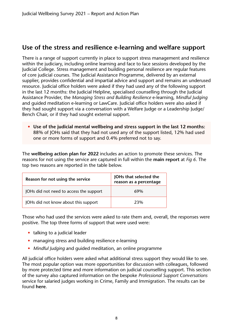## **Use of the stress and resilience e-learning and welfare support**

There is a range of support currently in place to support stress management and resilience within the judiciary, including online learning and face to face sessions developed by the Judicial College. Stress management and building personal resilience are regular features of core judicial courses. The Judicial Assistance Programme, delivered by an external supplier, provides confidential and impartial advice and support and remains an underused resource. Judicial office holders were asked if they had used any of the following support in the last 12 months: the Judicial Helpline, specialised counselling through the Judicial Assistance Provider, the *Managing Stress and Building Resilience* e-learning, *Mindful Judging* and guided meditation e-learning or LawCare. Judicial office holders were also asked if they had sought support via a conversation with a Welfare Judge or a Leadership Judge/ Bench Chair, or if they had sought external support.

• **Use of the judicial mental wellbeing and stress support in the last 12 months:** 88% of JOHs said that they had not used any of the support listed, 12% had used one or more forms of support and 0.4% preferred not to say.

The **[wellbeing action plan for 2022](#page-46-1)** includes an action to promote these services. The reasons for not using the service are captured in full within the **[main report](#page-17-1)** at *Fig 6*. The top two reasons are reported in the table below.

| Reason for not using the service        | JOHs that selected the<br>reason as a percentage |  |  |
|-----------------------------------------|--------------------------------------------------|--|--|
| JOHs did not need to access the support | 69%                                              |  |  |
| JOHs did not know about this support    | 23%                                              |  |  |

Those who had used the services were asked to rate them and, overall, the responses were positive. The top three forms of support that were used were:

- talking to a judicial leader
- managing stress and building resilience e-learning
- *Mindful Judging* and guided meditation, an online programme

All judicial office holders were asked what additional stress support they would like to see. The most popular option was more opportunities for discussion with colleagues, followed by more protected time and more information on judicial counselling support. This section of the survey also captured information on the bespoke *Professional Support Conversations* service for salaried judges working in Crime, Family and Immigration. The results can be found **[here](#page-24-0)**.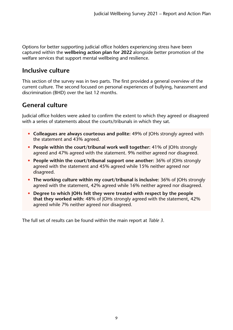Options for better supporting judicial office holders experiencing stress have been captured within the **[wellbeing action plan for 2022](#page-46-1)** alongside better promotion of the welfare services that support mental wellbeing and resilience.

## **Inclusive culture**

This section of the survey was in two parts. The first provided a general overview of the current culture. The second focused on personal experiences of bullying, harassment and discrimination (BHD) over the last 12 months.

## **General culture**

Judicial office holders were asked to confirm the extent to which they agreed or disagreed with a series of statements about the courts/tribunals in which they sat.

- **Colleagues are always courteous and polite:** 49% of JOHs strongly agreed with the statement and 43% agreed.
- **People within the court/tribunal work well together:** 41% of JOHs strongly agreed and 47% agreed with the statement. 9% neither agreed nor disagreed.
- **People within the court/tribunal support one another:** 36% of JOHs strongly agreed with the statement and 45% agreed while 15% neither agreed nor disagreed.
- **The working culture within my court/tribunal is inclusive:** 36% of JOHs strongly agreed with the statement, 42% agreed while 16% neither agreed nor disagreed.
- **Degree to which JOHs felt they were treated with respect by the people that they worked with:** 48% of JOHs strongly agreed with the statement, 42% agreed while 7% neither agreed nor disagreed.

The full set of results can be found within the main report at *Table 3*.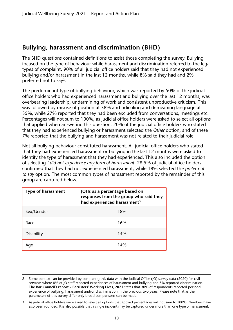## **Bullying, harassment and discrimination (BHD)**

The BHD questions contained definitions to assist those completing the survey. Bullying focused on the type of behaviour while harassment and discrimination referred to the legal types of complaint. 90% of all judicial office holders said that they had not experienced bullying and/or harassment in the last 12 months, while 8% said they had and 2% preferred not to say<sup>2</sup>.

The predominant type of bullying behaviour, which was reported by 50% of the judicial office holders who had experienced harassment and bullying over the last 12 months, was overbearing leadership, undermining of work and consistent unproductive criticism. This was followed by misuse of position at 38% and ridiculing and demeaning language at 35%, while 27% reported that they had been excluded from conversations, meetings etc. Percentages will not sum to 100%, as judicial office holders were asked to select all options that applied when answering this question. 20% of the judicial office holders who stated that they had experienced bullying or harassment selected the *Other* option, and of these 7% reported that the bullying and harassment was not related to their judicial role.

Not all bullying behaviour constituted harassment. All judicial office holders who stated that they had experienced harassment or bullying in the last 12 months were asked to identify the type of harassment that they had experienced. This also included the option of selecting *I did not experience any form of harassment*. 28.5% of judicial office holders confirmed that they had not experienced harassment, while 18% selected the *prefer not to say* option. The most common types of harassment reported by the remainder of this group are captured below.

| <b>Type of harassment</b> | JOHs as a percentage based on<br>responses from the group who said they<br>had experienced harassment <sup>3</sup> |  |  |
|---------------------------|--------------------------------------------------------------------------------------------------------------------|--|--|
| Sex/Gender                | 18%                                                                                                                |  |  |
| Race                      | 16%                                                                                                                |  |  |
| <b>Disability</b>         | 14%                                                                                                                |  |  |
| Age                       | 14%                                                                                                                |  |  |

<sup>2</sup> Some context can be provided by comparing this data with the Judicial Office (JO) survey data (2020) for civil servants where 8% of JO staff reported experiences of harassment and bullying and 5% reported discrimination. **[The Bar Council's report – Barristers' Working Lives, 2021](https://www.barcouncil.org.uk/uploads/assets/9a8ceb20-ba5e-44f8-9b3f765be564ea15/e3cd5fe0-6fe2-405e-8f5a9996ebbd7c01/Barristers-Working-Lives-report-2021.pdf)** states that 30% of respondents reported personal experience of bullying, harassment and/or discrimination in the previous two years. Please note that as the parameters of this survey differ only broad comparisons can be made.

<sup>3</sup> As judicial office holders were asked to select all options that applied percentages will not sum to 100%. Numbers have also been rounded. It is also possible that a single incident may be captured under more than one type of harassment.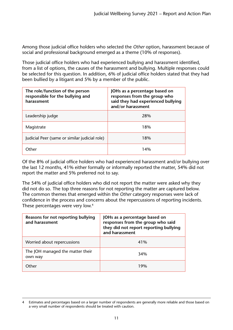Among those judicial office holders who selected the *Other* option, harassment because of social and professional background emerged as a theme (10% of responses).

Those judicial office holders who had experienced bullying and harassment identified, from a list of options, the causes of the harassment and bullying. Multiple responses could be selected for this question. In addition, 6% of judicial office holders stated that they had been bullied by a litigant and 5% by a member of the public.

| The role/function of the person<br>responsible for the bullying and<br>harassment | JOHs as a percentage based on<br>responses from the group who<br>said they had experienced bullying<br>and/or harassment |
|-----------------------------------------------------------------------------------|--------------------------------------------------------------------------------------------------------------------------|
| Leadership judge                                                                  | 28%                                                                                                                      |
| Magistrate                                                                        | 18%                                                                                                                      |
| Judicial Peer (same or similar judicial role)                                     | 18%                                                                                                                      |
| Other                                                                             | 14%                                                                                                                      |

Of the 8% of judicial office holders who had experienced harassment and/or bullying over the last 12 months, 41% either formally or informally reported the matter, 54% did not report the matter and 5% preferred not to say.

The 54% of judicial office holders who did not report the matter were asked why they did not do so. The top three reasons for not reporting the matter are captured below. The common themes that emerged within the *Other* category responses were lack of confidence in the process and concerns about the repercussions of reporting incidents. These percentages were very low.4

| Reasons for not reporting bullying<br>and harassment | JOHs as a percentage based on<br>responses from the group who said<br>they did not report reporting bullying<br>and harassment |  |  |
|------------------------------------------------------|--------------------------------------------------------------------------------------------------------------------------------|--|--|
| Worried about repercussions                          | 41%                                                                                                                            |  |  |
| The JOH managed the matter their<br>own way          | 34%                                                                                                                            |  |  |
| Other                                                | 19%                                                                                                                            |  |  |

<sup>4</sup> Estimates and percentages based on a larger number of respondents are generally more reliable and those based on a very small number of respondents should be treated with caution.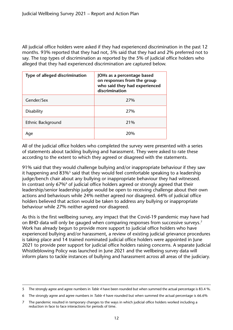All judicial office holders were asked if they had experienced discrimination in the past 12 months. 93% reported that they had not, 5% said that they had and 2% preferred not to say. The top types of discrimination as reported by the 5% of judicial office holders who alleged that they had experienced discrimination are captured below.

| Type of alleged discrimination | JOHs as a percentage based<br>on responses from the group<br>who said they had experienced<br>discrimination |  |  |
|--------------------------------|--------------------------------------------------------------------------------------------------------------|--|--|
| Gender/Sex                     | 27%                                                                                                          |  |  |
| <b>Disability</b>              | 27%                                                                                                          |  |  |
| Ethnic Background              | 21%                                                                                                          |  |  |
| vae                            |                                                                                                              |  |  |

All of the judicial office holders who completed the survey were presented with a series of statements about tackling bullying and harassment. They were asked to rate these according to the extent to which they agreed or disagreed with the statements.

91% said that they would challenge bullying and/or inappropriate behaviour if they saw it happening and 83%<sup>5</sup> said that they would feel comfortable speaking to a leadership judge/bench chair about any bullying or inappropriate behaviour they had witnessed. In contrast only 67%<sup>6</sup> of judicial office holders agreed or strongly agreed that their leadership/senior leadership judge would be open to receiving challenge about their own actions and behaviours while 24% neither agreed nor disagreed. 64% of judicial office holders believed that action would be taken to address any bullying or inappropriate behaviour while 27% neither agreed nor disagreed.

As this is the first wellbeing survey, any impact that the Covid-19 pandemic may have had on BHD data will only be gauged when comparing responses from successive surveys.<sup>7</sup> Work has already begun to provide more support to judicial office holders who have experienced bullying and/or harassment, a review of existing judicial grievance procedures is taking place and 14 trained nominated judicial office holders were appointed in June 2021 to provide peer support for judicial office holders raising concerns. A separate Judicial Whistleblowing Policy was launched in June 2021 and the wellbeing survey data will inform plans to tackle instances of bullying and harassment across all areas of the judiciary.

<sup>5</sup> The strongly agree and agree numbers in *Table 4* have been rounded but when summed the actual percentage is 83.4 %.

<sup>6</sup> The strongly agree and agree numbers in *Table 4* have rounded but when summed the actual percentage is 66.6%

<sup>7</sup> The pandemic resulted in temporary changes to the ways in which judicial office holders worked including a reduction in face to face interactions for periods of time.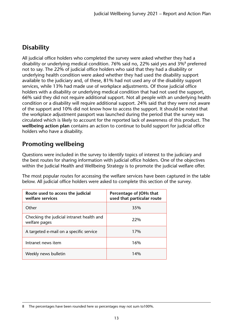## **Disability**

All judicial office holders who completed the survey were asked whether they had a disability or underlying medical condition. 76% said no, 22% said yes and 3%8 preferred not to say. The 22% of judicial office holders who said that they had a disability or underlying health condition were asked whether they had used the disability support available to the judiciary and, of these, 81% had not used any of the disability support services, while 13% had made use of workplace adjustments. Of those judicial office holders with a disability or underlying medical condition that had not used the support, 66% said they did not require additional support. Not all people with an underlying health condition or a disability will require additional support. 24% said that they were not aware of the support and 10% did not know how to access the support. It should be noted that the workplace adjustment passport was launched during the period that the survey was circulated which is likely to account for the reported lack of awareness of this product. The **[wellbeing action plan](#page-46-1)** contains an action to continue to build support for judicial office holders who have a disability.

## **Promoting wellbeing**

Questions were included in the survey to identify topics of interest to the judiciary and the best routes for sharing information with judicial office holders. One of the objectives within the Judicial Health and Wellbeing Strategy is to promote the judicial welfare offer.

The most popular routes for accessing the welfare services have been captured in the table below. All judicial office holders were asked to complete this section of the survey.

| Route used to access the judicial<br>welfare services      | Percentage of JOHs that<br>used that particular route |  |  |
|------------------------------------------------------------|-------------------------------------------------------|--|--|
| Other                                                      | 35%                                                   |  |  |
| Checking the judicial intranet health and<br>welfare pages | 22%                                                   |  |  |
| A targeted e-mail on a specific service                    | 17%                                                   |  |  |
| Intranet news item                                         | 16%                                                   |  |  |
| Weekly news bulletin                                       | 14%                                                   |  |  |

<sup>8</sup> The percentages have been rounded here so percentages may not sum to100%.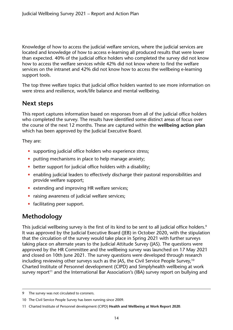Knowledge of how to access the judicial welfare services, where the judicial services are located and knowledge of how to access e-learning all produced results that were lower than expected. 40% of the judicial office holders who completed the survey did not know how to access the welfare services while 42% did not know where to find the welfare services on the intranet and 42% did not know how to access the wellbeing e-learning support tools.

The top three welfare topics that judicial office holders wanted to see more information on were stress and resilience, work/life balance and mental wellbeing.

### **Next steps**

This report captures information based on responses from all of the judicial office holders who completed the survey. The results have identified some distinct areas of focus over the course of the next 12 months. These are captured within the **[wellbeing action plan](#page-46-1)** which has been approved by the Judicial Executive Board.

They are:

- supporting judicial office holders who experience stress;
- putting mechanisms in place to help manage anxiety;
- better support for judicial office holders with a disability;
- enabling judicial leaders to effectively discharge their pastoral responsibilities and provide welfare support;
- extending and improving HR welfare services;
- raising awareness of judicial welfare services;
- facilitating peer support.

## **Methodology**

This judicial wellbeing survey is the first of its kind to be sent to all judicial office holders.<sup>9</sup> It was approved by the Judicial Executive Board (JEB) in October 2020, with the stipulation that the circulation of the survey would take place in Spring 2021 with further surveys taking place on alternate years to the Judicial Attitude Survey (JAS). The questions were approved by the HR Committee and the wellbeing survey was launched on 17 May 2021 and closed on 10th June 2021. The survey questions were developed through research including reviewing other surveys such as the JAS, the Civil Service People Survey,  $10$ Charted Institute of Personnel development (CIPD) and Simplyhealth wellbeing at work survey report<sup>11</sup> and the International Bar Association's (IBA) survey report on bullying and

<sup>9</sup> The survey was not circulated to coroners.

<sup>10</sup> The Civil Service People Survey has been running since 2009.

<sup>11</sup> Charted Institute of Personnel development (CIPD) **[Health and Wellbeing at Work Report 2020](https://www.cipd.co.uk/Images/health-and-well-being-2020-report_tcm18-73967.pdf)**.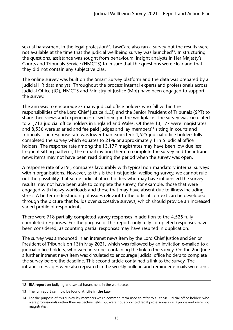sexual harassment in the legal profession<sup>12</sup>. LawCare also ran a survey but the results were not available at the time that the judicial wellbeing survey was launched<sup>13</sup>. In structuring the questions, assistance was sought from behavioural insight analysts in Her Majesty's Courts and Tribunals Service (HMCTS) to ensure that the questions were clear and that they did not contain any subjective bias.

The online survey was built on the Smart Survey platform and the data was prepared by a Judicial HR data analyst. Throughout the process internal experts and professionals across Judicial Office (JO), HMCTS and Ministry of Justice (MoJ) have been engaged to support the survey.

The aim was to encourage as many judicial office holders who fall within the responsibilities of the Lord Chief Justice (LCJ) and the Senior President of Tribunals (SPT) to share their views and experiences of wellbeing in the workplace. The survey was circulated to 21,713 judicial office holders in England and Wales. Of these 13,177 were magistrates and 8,536 were salaried and fee paid judges and lay members<sup>14</sup> sitting in courts and tribunals. The response rate was lower than expected; 4,525 judicial office holders fully completed the survey which equates to 21% or approximately 1 in 5 judicial office holders. The response rate among the 13,177 magistrates may have been low due less frequent sitting patterns; the e-mail inviting them to complete the survey and the intranet news items may not have been read during the period when the survey was open.

A response rate of 21%, compares favourably with typical non-mandatory internal surveys within organisations. However, as this is the first judicial wellbeing survey, we cannot rule out the possibility that some judicial office holders who may have influenced the survey results may not have been able to complete the survey, for example, those that were engaged with heavy workloads and those that may have absent due to illness including stress. A better understanding of issues relevant to the judicial context can be developed through the picture that builds over successive surveys, which should provide an increased varied profile of respondents.

There were 718 partially completed survey responses in addition to the 4,525 fully completed responses. For the purpose of this report, only fully completed responses have been considered, as counting partial responses may have resulted in duplication.

The survey was announced in an intranet news item by the Lord Chief Justice and Senior President of Tribunals on 13th May 2021, which was followed by an invitation e-mailed to all judicial office holders, who were in scope, containing the link to the survey. On the 2nd June a further intranet news item was circulated to encourage judicial office holders to complete the survey before the deadline. This second article contained a link to the survey. The intranet messages were also repeated in the weekly bulletin and reminder e-mails were sent.

<sup>12</sup> **[IBA report](https://www.ibanet.org/bullying-and-sexual-harassment)** on bullying and sexual harassment in the workplace.

<sup>13</sup> The full report can now be found at: **[Life in the Law](https://www.lawcare.org.uk/media/14vhquzz/lawcare-lifeinthelaw-v6-final.pdf)**

<sup>14</sup> For the purpose of this survey lay members was a common term used to refer to all those judicial office holders who were professionals within their respective fields but were not appointed legal professionals i.e. a judge and were not magistrates.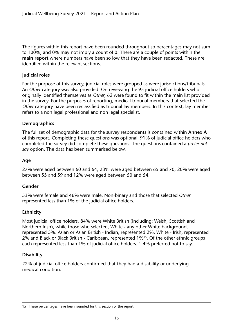The figures within this report have been rounded throughout so percentages may not sum to 100%, and 0% may not imply a count of 0. There are a couple of points within the **[main report](#page-17-1)** where numbers have been so low that they have been redacted. These are identified within the relevant sections.

#### **Judicial roles**

For the purpose of this survey, judicial roles were grouped as were jurisdictions/tribunals. An *Other* category was also provided. On reviewing the 95 judicial office holders who originally identified themselves as *Other*, 62 were found to fit within the main list provided in the survey. For the purposes of reporting, medical tribunal members that selected the *Other* category have been reclassified as tribunal lay members. In this context, lay member refers to a non legal professional and non legal specialist.

#### **Demographics**

The full set of demographic data for the survey respondents is contained within **Annex A** of this report. Completing these questions was optional. 91% of judicial office holders who completed the survey did complete these questions. The questions contained a *prefer not say* option. The data has been summarised below.

#### **Age**

27% were aged between 60 and 64, 23% were aged between 65 and 70, 20% were aged between 55 and 59 and 12% were aged between 50 and 54.

#### **Gender**

53% were female and 46% were male. Non-binary and those that selected *Other* represented less than 1% of the judicial office holders.

#### **Ethnicity**

Most judicial office holders, 84% were White British (including: Welsh, Scottish and Northern Irish), while those who selected, White - any other White background, represented 5%. Asian or Asian British - Indian, represented 2%, White - Irish, represented 2% and Black or Black British - Caribbean, represented 1%15. Of the other ethnic groups each represented less than 1% of judicial office holders. 1.4% preferred not to say.

#### **Disability**

22% of judicial office holders confirmed that they had a disability or underlying medical condition.

<sup>15</sup> These percentages have been rounded for this section of the report.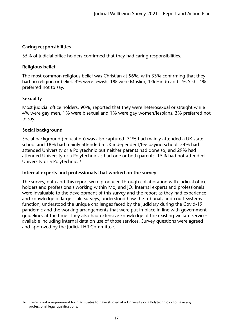#### **Caring responsibilities**

35% of judicial office holders confirmed that they had caring responsibilities.

#### **Religious belief**

The most common religious belief was Christian at 56%, with 33% confirming that they had no religion or belief. 3% were Jewish, 1% were Muslim, 1% Hindu and 1% Sikh. 4% preferred not to say.

#### **Sexuality**

Most judicial office holders, 90%, reported that they were heterosexual or straight while 4% were gay men, 1% were bisexual and 1% were gay women/lesbians. 3% preferred not to say.

#### **Social background**

Social background (education) was also captured. 71% had mainly attended a UK state school and 18% had mainly attended a UK independent/fee paying school. 54% had attended University or a Polytechnic but neither parents had done so, and 29% had attended University or a Polytechnic as had one or both parents. 15% had not attended University or a Polytechnic.<sup>16</sup>

#### **Internal experts and professionals that worked on the survey**

The survey, data and this report were produced through collaboration with judicial office holders and professionals working within MoJ and JO. Internal experts and professionals were invaluable to the development of this survey and the report as they had experience and knowledge of large scale surveys, understood how the tribunals and court systems function, understood the unique challenges faced by the judiciary during the Covid-19 pandemic and the working arrangements that were put in place in line with government guidelines at the time. They also had extensive knowledge of the existing welfare services available including internal data on use of those services. Survey questions were agreed and approved by the Judicial HR Committee.

<sup>16</sup> There is not a requirement for magistrates to have studied at a University or a Polytechnic or to have any professional legal qualifications.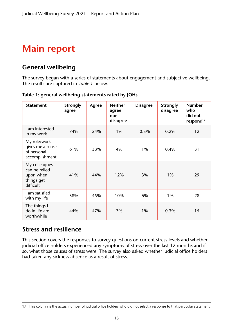## <span id="page-17-1"></span><span id="page-17-0"></span>**Main report**

## **General wellbeing**

The survey began with a series of statements about engagement and subjective wellbeing. The results are captured in *Table 1* below.

| <b>Statement</b>                                                       | <b>Strongly</b><br>agree | Agree | <b>Neither</b><br>agree<br>nor<br>disagree | <b>Disagree</b> | <b>Strongly</b><br>disagree | <b>Number</b><br>who<br>did not<br>respond $17$ |
|------------------------------------------------------------------------|--------------------------|-------|--------------------------------------------|-----------------|-----------------------------|-------------------------------------------------|
| am interested<br>in my work                                            | 74%                      | 24%   | 1%                                         | 0.3%            | 0.2%                        | 12                                              |
| My role/work<br>gives me a sense<br>of personal<br>accomplishment      | 61%                      | 33%   | 4%                                         | 1%              | 0.4%                        | 31                                              |
| My colleagues<br>can be relied<br>upon when<br>things get<br>difficult | 41%                      | 44%   | 12%                                        | 3%              | 1%                          | 29                                              |
| I am satisfied<br>with my life                                         | 38%                      | 45%   | 10%                                        | 6%              | 1%                          | 28                                              |
| The things I<br>do in life are<br>worthwhile                           | 44%                      | 47%   | 7%                                         | 1%              | 0.3%                        | 15                                              |

**Table 1: general wellbeing statements rated by JOHs.** 

## **Stress and resilience**

This section covers the responses to survey questions on current stress levels and whether judicial office holders experienced any symptoms of stress over the last 12 months and if so, what those causes of stress were. The survey also asked whether judicial office holders had taken any sickness absence as a result of stress.

<sup>17</sup> This column is the actual number of judicial office holders who did not select a response to that particular statement.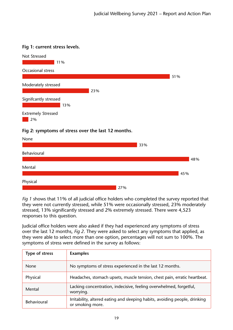#### **Fig 1: current stress levels.**



#### **Fig 2: symptoms of stress over the last 12 months.**



*Fig 1* shows that 11% of all judicial office holders who completed the survey reported that they were not currently stressed, while 51% were occasionally stressed, 23% moderately stressed, 13% significantly stressed and 2% extremely stressed. There were 4,523 responses to this question.

Judicial office holders were also asked if they had experienced any symptoms of stress over the last 12 months, *Fig 2*. They were asked to select any symptoms that applied, as they were able to select more than one option, percentages will not sum to 100%. The symptoms of stress were defined in the survey as follows:

| Type of stress     | <b>Examples</b>                                                                                 |
|--------------------|-------------------------------------------------------------------------------------------------|
| None               | No symptoms of stress experienced in the last 12 months.                                        |
| Physical           | Headaches, stomach upsets, muscle tension, chest pain, erratic heartbeat.                       |
| Mental             | Lacking concentration, indecisive, feeling overwhelmed, forgetful,<br>worrying.                 |
| <b>Behavioural</b> | Irritability, altered eating and sleeping habits, avoiding people, drinking<br>or smoking more. |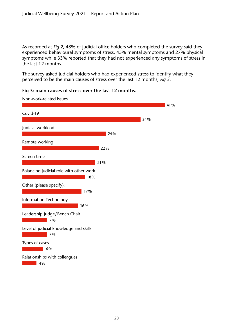As recorded at *Fig 2*, 48% of judicial office holders who completed the survey said they experienced behavioural symptoms of stress, 45% mental symptoms and 27% physical symptoms while 33% reported that they had not experienced any symptoms of stress in the last 12 months.

The survey asked judicial holders who had experienced stress to identify what they perceived to be the main causes of stress over the last 12 months, *Fig 3*.

| Non-work-related issues                        |     | 41% |
|------------------------------------------------|-----|-----|
| Covid-19                                       | 34% |     |
| Judicial workload<br>24%                       |     |     |
| Remote working<br>22%                          |     |     |
| Screen time<br>21%                             |     |     |
| Balancing judicial role with other work<br>18% |     |     |
| Other (please specify):<br>17%                 |     |     |
| Information Technology<br>16%                  |     |     |
| Leadership Judge/Bench Chair<br>7%             |     |     |
| Level of judicial knowledge and skills<br>7%   |     |     |
| Types of cases<br>6%                           |     |     |
| Relationships with colleagues<br>4%            |     |     |

#### **Fig 3: main causes of stress over the last 12 months.**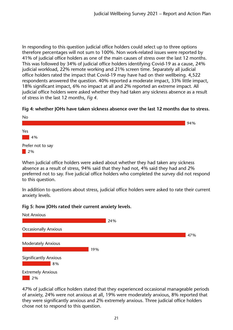In responding to this question judicial office holders could select up to three options therefore percentages will not sum to 100%. Non work-related issues were reported by 41% of judicial office holders as one of the main causes of stress over the last 12 months. This was followed by 34% of judicial office holders identifying Covid-19 as a cause, 24% judicial workload, 22% remote working and 21% screen time. Separately all judicial office holders rated the impact that Covid-19 may have had on their wellbeing. 4,522 respondents answered the question. 40% reported a moderate impact, 33% little impact, 18% significant impact, 6% no impact at all and 2% reported an extreme impact. All judicial office holders were asked whether they had taken any sickness absence as a result of stress in the last 12 months, *Fig 4*.

#### **Fig 4: whether JOHs have taken sickness absence over the last 12 months due to stress.**



When judicial office holders were asked about whether they had taken any sickness absence as a result of stress, 94% said that they had not, 4% said they had and 2% preferred not to say. Five judicial office holders who completed the survey did not respond to this question.

In addition to questions about stress, judicial office holders were asked to rate their current anxiety levels.

#### **Fig 5: how JOHs rated their current anxiety levels.**



47% of judicial office holders stated that they experienced occasional manageable periods of anxiety, 24% were not anxious at all, 19% were moderately anxious, 8% reported that they were significantly anxious and 2% extremely anxious. Three judicial office holders chose not to respond to this question.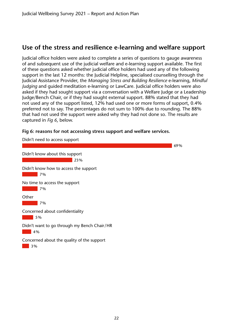## **Use of the stress and resilience e-learning and welfare support**

Judicial office holders were asked to complete a series of questions to gauge awareness of and subsequent use of the judicial welfare and e-learning support available. The first of these questions asked whether judicial office holders had used any of the following support in the last 12 months: the Judicial Helpline, specialised counselling through the Judicial Assistance Provider, the *Managing Stress and Building Resilience* e-learning, *Mindful Judging* and guided meditation e-learning or LawCare. Judicial office holders were also asked if they had sought support via a conversation with a Welfare Judge or a Leadership Judge/Bench Chair, or if they had sought external support. 88% stated that they had not used any of the support listed, 12% had used one or more forms of support, 0.4% preferred not to say. The percentages do not sum to 100% due to rounding. The 88% that had not used the support were asked why they had not done so. The results are captured in *Fig 6*, below.

#### **Fig 6: reasons for not accessing stress support and welfare services.**

69%  $\blacksquare$  23% <u>7% 7%</u>  $\blacksquare$  7% 7%  $5%$ 4%  $\blacksquare$  3% Concerned about the quality of the support Didn't want to go through my Bench Chair / HR Concerned about confidentiality **Other** No time to access the support Didn't know how to access the support Didn't know about this support Didn't need to access support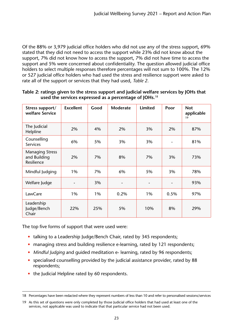Of the 88% or 3,979 judicial office holders who did not use any of the stress support, 69% stated that they did not need to access the support while 23% did not know about the support, 7% did not know how to access the support, 7% did not have time to access the support and 5% were concerned about confidentiality. The question allowed judicial office holders to select multiple responses therefore percentages will not sum to 100%. The 12% or 527 judicial office holders who had used the stress and resilience support were asked to rate all of the support or services that they had used, *Table 2*.

| Stress support/<br>welfare Service                   | <b>Excellent</b> | Good | <b>Moderate</b> | <b>Limited</b>               | Poor | <b>Not</b><br>applicable<br>19 |
|------------------------------------------------------|------------------|------|-----------------|------------------------------|------|--------------------------------|
| The Judicial<br>Helpline                             | 2%               | 4%   | 2%              | 3%                           | 2%   | 87%                            |
| Counselling<br><b>Services</b>                       | 6%               | 5%   | 3%              | 3%                           |      | 81%                            |
| <b>Managing Stress</b><br>and Building<br>Resilience | 2%               | 7%   | 8%              | 7%                           | 3%   | 73%                            |
| Mindful Judging                                      | 1%               | 7%   | 6%              | 5%                           | 3%   | 78%                            |
| Welfare Judge                                        |                  | 3%   |                 | $\qquad \qquad \blacksquare$ |      | 93%                            |
| LawCare                                              | 1%               | 1%   | 0.2%            | 1%                           | 0.5% | 97%                            |
| Leadership<br>Judge/Bench<br>Chair                   | 22%              | 25%  | 5%              | 10%                          | 8%   | 29%                            |

**Table 2: ratings given to the stress support and judicial welfare services by JOHs that used the services expressed as a percentage of JOHs.**<sup>18</sup>

The top five forms of support that were used were:

- talking to a Leadership Judge/Bench Chair, rated by 345 respondents;
- managing stress and building resilience e-learning, rated by 121 respondents;
- *Mindful Judging* and guided meditation e- learning, rated by 96 respondents;
- specialised counselling provided by the judicial assistance provider, rated by 88 respondents;
- the Judicial Helpline rated by 60 respondents.

<sup>18</sup> Percentages have been redacted where they represent numbers of less than 10 and refer to personalised sessions/services

<sup>19</sup> As this set of questions were only completed by those Judicial office holders that had used at least one of the services, not applicable was used to indicate that that particular service had not been used.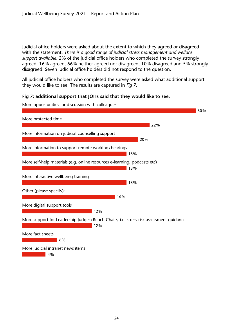Judicial office holders were asked about the extent to which they agreed or disagreed with the statement: *There is a good range of judicial stress management and welfare support available*. 2% of the judicial office holders who completed the survey strongly agreed, 16% agreed, 66% neither agreed nor disagreed, 10% disagreed and 5% strongly disagreed. Seven judicial office holders did not respond to the question.

All judicial office holders who completed the survey were asked what additional support they would like to see. The results are captured in *Fig 7*.

#### **Fig 7: additional support that JOHs said that they would like to see.**

|                                                                                       | 30% |
|---------------------------------------------------------------------------------------|-----|
| More protected time                                                                   |     |
|                                                                                       | 22% |
| More information on judicial counselling support                                      |     |
| 20%                                                                                   |     |
| More information to support remote working/hearings                                   |     |
| 18%                                                                                   |     |
| More self-help materials (e.g. online resources e-learning, podcasts etc)             |     |
| 18%                                                                                   |     |
| More interactive wellbeing training                                                   |     |
| 18%                                                                                   |     |
| Other (please specify):                                                               |     |
| 16%                                                                                   |     |
| More digital support tools                                                            |     |
| 12%                                                                                   |     |
| More support for Leadership Judges/Bench Chairs, i.e. stress risk assessment guidance |     |
| 12%                                                                                   |     |
| More fact sheets                                                                      |     |
| 6%                                                                                    |     |
| More judicial intranet news items                                                     |     |
| 4%                                                                                    |     |

More opportunities for discussion with colleagues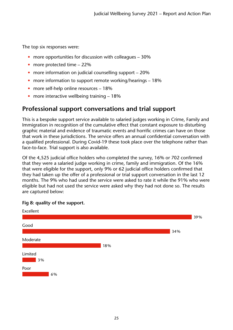The top six responses were:

- more opportunities for discussion with colleagues 30%
- more protected time 22%
- more information on judicial counselling support 20%
- more information to support remote working/hearings 18%
- more self-help online resources 18%
- more interactive wellbeing training 18%

### <span id="page-24-0"></span>**Professional support conversations and trial support**

This is a bespoke support service available to salaried judges working in Crime, Family and Immigration in recognition of the cumulative effect that constant exposure to disturbing graphic material and evidence of traumatic events and horrific crimes can have on those that work in these jurisdictions. The service offers an annual confidential conversation with a qualified professional. During Covid-19 these took place over the telephone rather than face-to-face. Trial support is also available.

Of the 4,525 judicial office holders who completed the survey, 16% or 702 confirmed that they were a salaried judge working in crime, family and immigration. Of the 16% that were eligible for the support, only 9% or 62 judicial office holders confirmed that they had taken up the offer of a professional or trial support conversation in the last 12 months. The 9% who had used the service were asked to rate it while the 91% who were eligible but had not used the service were asked why they had not done so. The results are captured below:



#### **Fig 8: quality of the support.**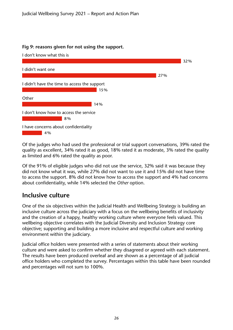#### **Fig 9: reasons given for not using the support.**

I don't know what this is



Of the judges who had used the professional or trial support conversations, 39% rated the quality as excellent, 34% rated it as good, 18% rated it as moderate, 3% rated the quality as limited and 6% rated the quality as poor.

Of the 91% of eligible judges who did not use the service, 32% said it was because they did not know what it was, while 27% did not want to use it and 15% did not have time to access the support. 8% did not know how to access the support and 4% had concerns about confidentiality, while 14% selected the *Other* option.

### **Inclusive culture**

One of the six objectives within the Judicial Health and Wellbeing Strategy is building an inclusive culture across the judiciary with a focus on the wellbeing benefits of inclusivity and the creation of a happy, healthy working culture where everyone feels valued. This wellbeing objective correlates with the Judicial Diversity and Inclusion Strategy core objective; supporting and building a more inclusive and respectful culture and working environment within the judiciary.

Judicial office holders were presented with a series of statements about their working culture and were asked to confirm whether they disagreed or agreed with each statement. The results have been produced overleaf and are shown as a percentage of all judicial office holders who completed the survey. Percentages within this table have been rounded and percentages will not sum to 100%.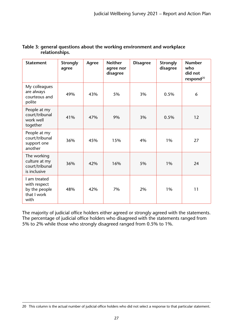| <b>Statement</b>                                                     | <b>Strongly</b><br>agree | Agree | <b>Neither</b><br>agree nor<br>disagree | <b>Disagree</b> | <b>Strongly</b><br>disagree | <b>Number</b><br>who<br>did not<br>respond $^{20}$ |
|----------------------------------------------------------------------|--------------------------|-------|-----------------------------------------|-----------------|-----------------------------|----------------------------------------------------|
| My colleagues<br>are always<br>courteous and<br>polite               | 49%                      | 43%   | 5%                                      | 3%              | 0.5%                        | 6                                                  |
| People at my<br>court/tribunal<br>work well<br>together              | 41%                      | 47%   | 9%                                      | 3%              | 0.5%                        | 12                                                 |
| People at my<br>court/tribunal<br>support one<br>another             | 36%                      | 45%   | 15%                                     | 4%              | 1%                          | 27                                                 |
| The working<br>culture at my<br>court/tribunal<br>is inclusive       | 36%                      | 42%   | 16%                                     | 5%              | 1%                          | 24                                                 |
| I am treated<br>with respect<br>by the people<br>that I work<br>with | 48%                      | 42%   | 7%                                      | 2%              | 1%                          | 11                                                 |

#### **Table 3: general questions about the working environment and workplace relationships.**

The majority of judicial office holders either agreed or strongly agreed with the statements. The percentage of judicial office holders who disagreed with the statements ranged from 5% to 2% while those who strongly disagreed ranged from 0.5% to 1%.

<sup>20</sup> This column is the actual number of judicial office holders who did not select a response to that particular statement.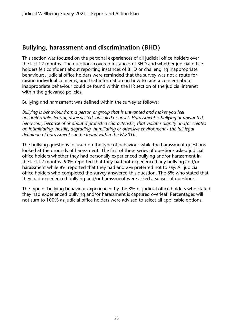## **Bullying, harassment and discrimination (BHD)**

This section was focused on the personal experiences of all judicial office holders over the last 12 months. The questions covered instances of BHD and whether judicial office holders felt confident about reporting instances of BHD or challenging inappropriate behaviours. Judicial office holders were reminded that the survey was not a route for raising individual concerns, and that information on how to raise a concern about inappropriate behaviour could be found within the HR section of the judicial intranet within the grievance policies.

Bullying and harassment was defined within the survey as follows:

*Bullying is behaviour from a person or group that is unwanted and makes you feel uncomfortable, fearful, disrespected, ridiculed or upset. Harassment is bullying or unwanted behaviour, because of or about a protected characteristic, that violates dignity and/or creates an intimidating, hostile, degrading, humiliating or offensive environment - the full legal definition of harassment can be found within the EA2010.*

The bullying questions focused on the type of behaviour while the harassment questions looked at the grounds of harassment. The first of these series of questions asked judicial office holders whether they had personally experienced bullying and/or harassment in the last 12 months. 90% reported that they had not experienced any bullying and/or harassment while 8% reported that they had and 2% preferred not to say. All judicial office holders who completed the survey answered this question. The 8% who stated that they had experienced bullying and/or harassment were asked a subset of questions.

The type of bullying behaviour experienced by the 8% of judicial office holders who stated they had experienced bullying and/or harassment is captured overleaf. Percentages will not sum to 100% as judicial office holders were advised to select all applicable options.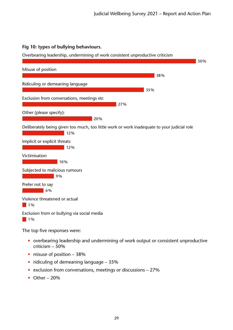#### **Fig 10: types of bullying behaviours.**

Overbearing leadership, undermining of work consistent unproductive criticism

|                                                                                                    | 50% |
|----------------------------------------------------------------------------------------------------|-----|
| Misuse of position<br>38%                                                                          |     |
| Ridiculing or demeaning language<br>35%                                                            |     |
| Exclusion from conversations, meetings etc<br>27%                                                  |     |
| Other (please specify):<br>20%                                                                     |     |
| Deliberately being given too much, too little work or work inadequate to your judicial role<br>12% |     |
| Implicit or explicit threats<br>12%                                                                |     |
| Victimisation<br>10%                                                                               |     |
| Subjected to malicious rumours<br>9%                                                               |     |
| Prefer not to say<br>6%                                                                            |     |
| Violence threatened or actual<br>1%                                                                |     |
| Exclusion from or bullying via social media<br>$\blacksquare$ 1%                                   |     |
| The top five responses were:                                                                       |     |

- overbearing leadership and undermining of work output or consistent unproductive criticism – 50%
- misuse of position 38%
- ridiculing of demeaning language 35%
- exclusion from conversations, meetings or discussions 27%
- Other  $-20%$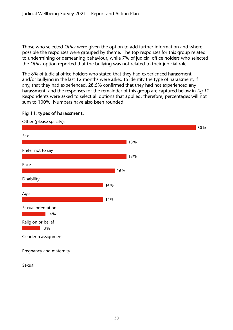Those who selected *Other* were given the option to add further information and where possible the responses were grouped by theme. The top responses for this group related to undermining or demeaning behaviour, while 7% of judicial office holders who selected the *Other* option reported that the bullying was not related to their judicial role.

The 8% of judicial office holders who stated that they had experienced harassment and/or bullying in the last 12 months were asked to identify the type of harassment, if any, that they had experienced. 28.5% confirmed that they had not experienced any harassment, and the responses for the remainder of this group are captured below in *Fig 11*. Respondents were asked to select all options that applied; therefore, percentages will not sum to 100%. Numbers have also been rounded.

#### **Fig 11: types of harassment.**



Other (please specify):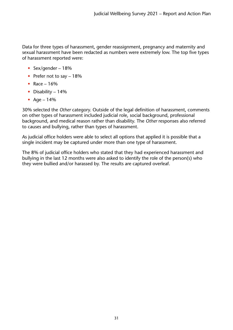Data for three types of harassment, gender reassignment, pregnancy and maternity and sexual harassment have been redacted as numbers were extremely low. The top five types of harassment reported were:

- Sex/gender 18%
- Prefer not to say 18%
- Race  $-16%$
- Disability 14%
- Age  $14%$

30% selected the *Other* category. Outside of the legal definition of harassment, comments on other types of harassment included judicial role, social background, professional background, and medical reason rather than disability. The *Other* responses also referred to causes and bullying, rather than types of harassment.

As judicial office holders were able to select all options that applied it is possible that a single incident may be captured under more than one type of harassment.

The 8% of judicial office holders who stated that they had experienced harassment and bullying in the last 12 months were also asked to identify the role of the person(s) who they were bullied and/or harassed by. The results are captured overleaf.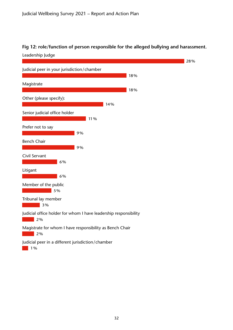### **Fig 12: role/function of person responsible for the alleged bullying and harassment.**

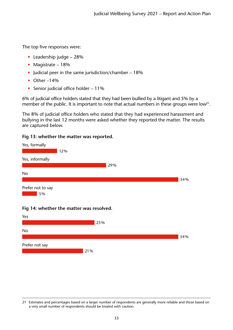The top five responses were:

- Leadership judge 28%
- Magistrate 18%
- Judicial peer in the same jurisdiction/chamber 18%
- Other –14%
- Senior judicial office holder 11%

6% of judicial office holders stated that they had been bullied by a litigant and 5% by a member of the public. It is important to note that actual numbers in these groups were low<sup>21</sup>.

The 8% of judicial office holders who stated that they had experienced harassment and bullying in the last 12 months were asked whether they reported the matter. The results are captured below.

#### **Fig 13: whether the matter was reported.**



<sup>21</sup> Estimates and percentages based on a larger number of respondents are generally more reliable and those based on a very small number of respondents should be treated with caution.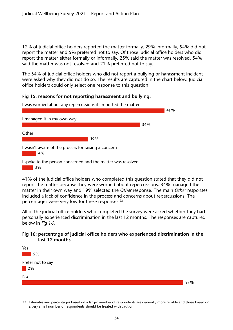12% of judicial office holders reported the matter formally, 29% informally, 54% did not report the matter and 5% preferred not to say. Of those judicial office holders who did report the matter either formally or informally, 25% said the matter was resolved, 54% said the matter was not resolved and 21% preferred not to say.

The 54% of judicial office holders who did not report a bullying or harassment incident were asked why they did not do so. The results are captured in the chart below. Judicial office holders could only select one response to this question.

#### **Fig 15: reasons for not reporting harassment and bullying.**

 $\vert$  3%  $4%$ 19% 34% 41% I spoke to the person concerned and the matter was resolved I wasn't aware of the process for raising a concern **Other** I managed it in my own way I was worried about any repercussions if I reported the matter

41% of the judicial office holders who completed this question stated that they did not report the matter because they were worried about repercussions. 34% managed the matter in their own way and 19% selected the *Other* response. The main *Other* responses included a lack of confidence in the process and concerns about repercussions. The percentages were very low for these responses.22

All of the judicial office holders who completed the survey were asked whether they had personally experienced discrimination in the last 12 months. The responses are captured below in *Fig 16*.

#### **Fig 16: percentage of judicial office holders who experienced discrimination in the last 12 months.**



<sup>22</sup> Estimates and percentages based on a larger number of respondents are generally more reliable and those based on a very small number of respondents should be treated with caution.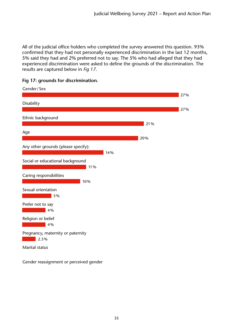All of the judicial office holders who completed the survey answered this question. 93% confirmed that they had not personally experienced discrimination in the last 12 months, 5% said they had and 2% preferred not to say. The 5% who had alleged that they had experienced discrimination were asked to define the grounds of the discrimination. The results are captured below in *Fig 17*.



#### **Fig 17: grounds for discrimination.**

Gender reassignment or perceived gender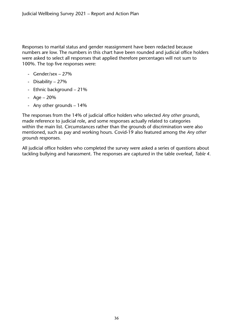Responses to marital status and gender reassignment have been redacted because numbers are low. The numbers in this chart have been rounded and judicial office holders were asked to select all responses that applied therefore percentages will not sum to 100%. The top five responses were:

- Gender/sex 27%
- Disability 27%
- Ethnic background 21%
- Age  $-20%$
- Any other grounds 14%

The responses from the 14% of judicial office holders who selected *Any other grounds*, made reference to judicial role, and some responses actually related to categories within the main list. Circumstances rather than the grounds of discrimination were also mentioned, such as pay and working hours. Covid-19 also featured among the *Any other grounds* responses.

All judicial office holders who completed the survey were asked a series of questions about tackling bullying and harassment. The responses are captured in the table overleaf, *Table 4*.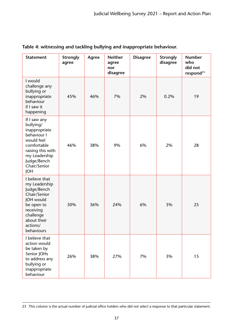| <b>Statement</b>                                                                                                                                                          | <b>Strongly</b><br>agree | Agree | <b>Neither</b><br>agree<br>nor<br>disagree | <b>Disagree</b> | <b>Strongly</b><br>disagree | <b>Number</b><br>who<br>did not<br>respond $^{23}$ |
|---------------------------------------------------------------------------------------------------------------------------------------------------------------------------|--------------------------|-------|--------------------------------------------|-----------------|-----------------------------|----------------------------------------------------|
| I would<br>challenge any<br>bullying or<br>inappropriate<br>behaviour<br>if I saw it<br>happening                                                                         | 45%                      | 46%   | 7%                                         | 2%              | 0.2%                        | 19                                                 |
| If I saw any<br>bullying/<br>inappropriate<br>behaviour I<br>would feel<br>comfortable<br>raising this with<br>my Leadership<br>Judge/Bench<br>Chair/Senior<br><b>JOH</b> | 46%                      | 38%   | 9%                                         | 6%              | 2%                          | 28                                                 |
| I believe that<br>my Leadership<br>Judge/Bench<br>Chair/Senior<br>JOH would<br>be open to<br>receiving<br>challenge<br>about their<br>actions/<br>behaviours              | 30%                      | 36%   | 24%                                        | 6%              | 3%                          | 25                                                 |
| I believe that<br>action would<br>be taken by<br>Senior JOHs<br>to address any<br>bullying or<br>inappropriate<br>behaviour                                               | 26%                      | 38%   | 27%                                        | 7%              | 3%                          | 15                                                 |

#### **Table 4: witnessing and tackling bullying and inappropriate behaviour.**

<sup>23</sup> This column is the actual number of judicial office holders who did not select a response to that particular statement.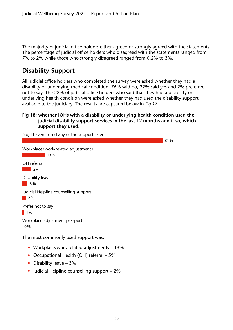The majority of judicial office holders either agreed or strongly agreed with the statements. The percentage of judicial office holders who disagreed with the statements ranged from 7% to 2% while those who strongly disagreed ranged from 0.2% to 3%.

## **Disability Support**

All judicial office holders who completed the survey were asked whether they had a disability or underlying medical condition. 76% said no, 22% said yes and 2% preferred not to say. The 22% of judicial office holders who said that they had a disability or underlying health condition were asked whether they had used the disability support available to the judiciary. The results are captured below in *Fig 18*.

#### **Fig 18: whether JOHs with a disability or underlying health condition used the judicial disability support services in the last 12 months and if so, which support they used.**

81%  $13%$ 5% 3% 2%  $1%$  $|0\%$ Workplace adjustment passport Prefer not to say Judicial Helpline counselling support Disability leave OH referral Workplace / work-related adjustments No, I haven't used any of the support listed The most commonly used support was: • Workplace/work related adjustments – 13% • Occupational Health (OH) referral – 5% • Disability leave – 3%

• Judicial Helpline counselling support – 2%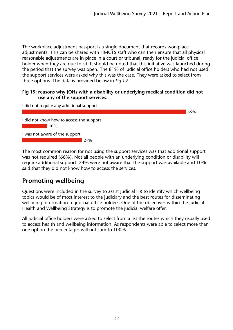The workplace adjustment passport is a single document that records workplace adjustments. This can be shared with HMCTS staff who can then ensure that all physical reasonable adjustments are in place in a court or tribunal, ready for the judicial office holder when they are due to sit. It should be noted that this initiative was launched during the period that the survey was open. The 81% of judicial office holders who had not used the support services were asked why this was the case. They were asked to select from three options. The data is provided below in *Fig 19*.

#### **Fig 19: reasons why JOHs with a disability or underlying medical condition did not use any of the support services.**



The most common reason for not using the support services was that additional support was not required (66%). Not all people with an underlying condition or disability will require additional support. 24% were not aware that the support was available and 10% said that they did not know how to access the services.

## **Promoting wellbeing**

Questions were included in the survey to assist Judicial HR to identify which wellbeing topics would be of most interest to the judiciary and the best routes for disseminating wellbeing information to judicial office holders. One of the objectives within the Judicial Health and Wellbeing Strategy is to promote the judicial welfare offer.

All judicial office holders were asked to select from a list the routes which they usually used to access health and wellbeing information. As respondents were able to select more than one option the percentages will not sum to 100%.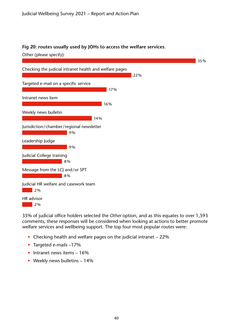#### **Fig 20: routes usually used by JOHs to access the welfare services.**

Other (please specify):



35% of judicial office holders selected the *Other* option, and as this equates to over 1,593 comments, these responses will be considered when looking at actions to better promote welfare services and wellbeing support. The top four most popular routes were:

- Checking health and welfare pages on the judicial intranet 22%
- Targeted e-mails –17%
- Intranet news items 16%
- Weekly news bulletins 14%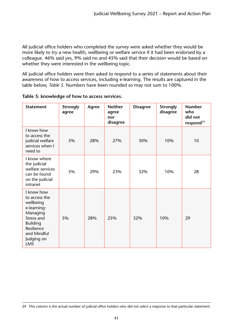All judicial office holders who completed the survey were asked whether they would be more likely to try a new health, wellbeing or welfare service if it had been endorsed by a colleague. 46% said yes, 9% said no and 45% said that their decision would be based on whether they were interested in the wellbeing topic.

All judicial office holders were then asked to respond to a series of statements about their awareness of how to access services, including e-learning. The results are captured in the table below, *Table 5*. Numbers have been rounded so may not sum to 100%.

| <b>Statement</b>                                                                                                                                              | <b>Strongly</b><br>agree | Agree | <b>Neither</b><br>agree<br>nor<br>disagree | <b>Disagree</b> | <b>Strongly</b><br>disagree | <b>Number</b><br>who<br>did not<br>respond <sup>24</sup> |
|---------------------------------------------------------------------------------------------------------------------------------------------------------------|--------------------------|-------|--------------------------------------------|-----------------|-----------------------------|----------------------------------------------------------|
| I know how<br>to access the<br>judicial welfare<br>services when I<br>need to                                                                                 | 5%                       | 28%   | 27%                                        | 30%             | 10%                         | 10 <sup>°</sup>                                          |
| I know where<br>the judicial<br>welfare services<br>can be found<br>on the judicial<br>intranet                                                               | 5%                       | 29%   | 23%                                        | 32%             | 10%                         | 28                                                       |
| I know how<br>to access the<br>wellbeing<br>e-learning:<br>Managing<br>Stress and<br><b>Building</b><br>Resilience<br>and Mindful<br>Judging on<br><b>LMS</b> | 5%                       | 28%   | 25%                                        | 32%             | 10%                         | 29                                                       |

**Table 5: knowledge of how to access services.**

<sup>24</sup> This column is the actual number of judicial office holders who did not select a response to that particular statement.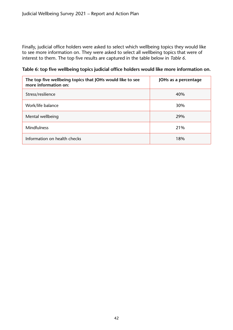Finally, judicial office holders were asked to select which wellbeing topics they would like to see more information on. They were asked to select all wellbeing topics that were of interest to them. The top five results are captured in the table below in *Table 6*.

**Table 6: top five wellbeing topics judicial office holders would like more information on.** 

| The top five wellbeing topics that JOHs would like to see<br>more information on: | JOHs as a percentage |
|-----------------------------------------------------------------------------------|----------------------|
| Stress/resilience                                                                 | 40%                  |
| Work/life balance                                                                 | 30%                  |
| Mental wellbeing                                                                  | 29%                  |
| <b>Mindfulness</b>                                                                | 21%                  |
| Information on health checks                                                      | 18%                  |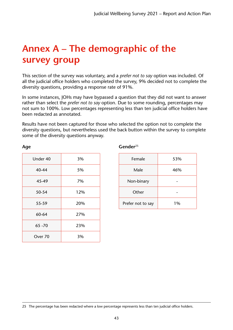## <span id="page-42-0"></span>**Annex A – The demographic of the survey group**

This section of the survey was voluntary, and a *prefer not to say* option was included. Of all the judicial office holders who completed the survey, 9% decided not to complete the diversity questions, providing a response rate of 91%.

In some instances, JOHs may have bypassed a question that they did not want to answer rather than select the *prefer not to say* option. Due to some rounding, percentages may not sum to 100%. Low percentages representing less than ten judicial office holders have been redacted as annotated.

Results have not been captured for those who selected the option not to complete the diversity questions, but nevertheless used the back button within the survey to complete some of the diversity questions anyway.

| Under 40  | 3%  |
|-----------|-----|
| 40-44     | 5%  |
| 45-49     | 7%  |
| 50-54     | 12% |
| 55-59     | 20% |
| 60-64     | 27% |
| $65 - 70$ | 23% |
| Over 70   | 3%  |

#### **Age**

#### **Gender**<sup>25</sup>

| Female            | 53% |
|-------------------|-----|
| Male              | 46% |
| Non-binary        |     |
| Other             |     |
| Prefer not to say | 1%  |

<sup>25</sup> The percentage has been redacted where a low percentage represents less than ten judicial office holders.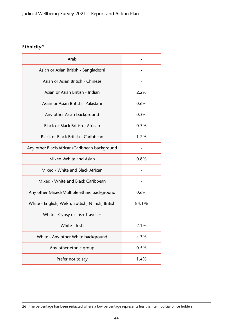## **Ethnicity**<sup>26</sup>

| Arab                                              |       |
|---------------------------------------------------|-------|
| Asian or Asian British - Bangladeshi              |       |
| Asian or Asian British - Chinese                  |       |
| Asian or Asian British - Indian                   | 2.2%  |
| Asian or Asian British - Pakistani                | 0.6%  |
| Any other Asian background                        | 0.3%  |
| <b>Black or Black British - African</b>           | 0.7%  |
| <b>Black or Black British - Caribbean</b>         | 1.2%  |
| Any other Black/African/Caribbean background      |       |
| Mixed - White and Asian                           | 0.8%  |
| Mixed - White and Black African                   |       |
| Mixed - White and Black Caribbean                 |       |
| Any other Mixed/Multiple ethnic background        | 0.6%  |
| White - English, Welsh, Sottish, N Irish, British | 84.1% |
| White - Gypsy or Irish Traveller                  |       |
| White - Irish                                     | 2.1%  |
| White - Any other White background                | 4.7%  |
| Any other ethnic group                            | 0.5%  |
| Prefer not to say                                 | 1.4%  |

<sup>26</sup> The percentage has been redacted where a low percentage represents less than ten judicial office holders.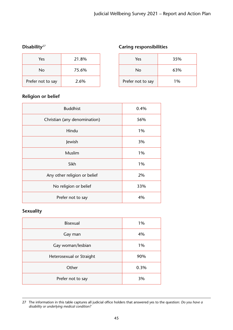### **Disability**<sup>27</sup>

| Yes               | 21.8% |
|-------------------|-------|
| No                | 75.6% |
| Prefer not to say | 2.6%  |

|  | <b>Caring responsibilities</b> |
|--|--------------------------------|
|--|--------------------------------|

| Yes               | 35%   |
|-------------------|-------|
| No                | 63%   |
| Prefer not to say | $1\%$ |

#### **Religion or belief**

| <b>Buddhist</b>              | 0.4% |
|------------------------------|------|
| Christian (any denomination) | 56%  |
| Hindu                        | 1%   |
| Jewish                       | 3%   |
| <b>Muslim</b>                | 1%   |
| Sikh                         | 1%   |
| Any other religion or belief | 2%   |
| No religion or belief        | 33%  |
| Prefer not to say            | 4%   |

#### **Sexuality**

| <b>Bisexual</b>          | 1%   |
|--------------------------|------|
| Gay man                  | 4%   |
| Gay woman/lesbian        | 1%   |
| Heterosexual or Straight | 90%  |
| Other                    | 0.3% |
| Prefer not to say        | 3%   |

<sup>27</sup> The information in this table captures all judicial office holders that answered yes to the question: *Do you have a disability or underlying medical condition?*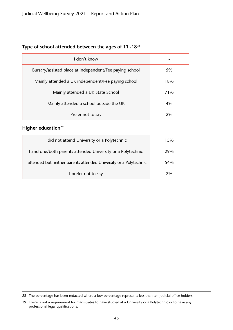| I don't know                                            |     |
|---------------------------------------------------------|-----|
| Bursary/assisted place at Independent/Fee paying school | 5%  |
| Mainly attended a UK independent/Fee paying school      | 18% |
| Mainly attended a UK State School                       | 71% |
| Mainly attended a school outside the UK                 | 4%  |
| Prefer not to say                                       | 2%  |

#### **Type of school attended between the ages of 11 -18**<sup>28</sup>

## **Higher education**<sup>29</sup>

| I did not attend University or a Polytechnic                        | 15% |
|---------------------------------------------------------------------|-----|
| I and one/both parents attended University or a Polytechnic         | 29% |
| I attended but neither parents attended University or a Polytechnic | 54% |
| I prefer not to say                                                 | 2%  |

<sup>28</sup> The percentage has been redacted where a low percentage represents less than ten judicial office holders.

<sup>29</sup> There is not a requirement for magistrates to have studied at a University or a Polytechnic or to have any professional legal qualifications.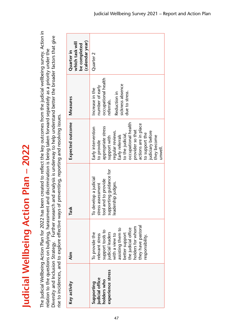<span id="page-46-1"></span>Judicial Wellbeing Action Plan - 2022 **Judicial Wellbeing Action Plan – 2022**

<span id="page-46-0"></span>The Judicial Wellbeing Action Plan for 2022 has been created to reflect the key outcomes from the judicial wellbeing survey. Action in The Judicial Wellbeing Action Plan for 2022 has been created to reflect the key outcomes from the judicial wellbeing survey. Action in Diversity and Inclusion Strategy. Further research and analysis is underway to help understand better the broader factors that give Diversity and Inclusion Strategy. Further research and analysis is underway to help understand better the broader factors that give relation to the questions on bullying, harassment and discrimination is being taken forward separately as a priority under the relation to the questions on bullying, harassment and discrimination is being taken forward separately as a priority under the rise to incidences, and to explore effective ways of preventing, reporting and resolving issues. rise to incidences, and to explore effective ways of preventing, reporting and resolving issues.

| Key activity                                                      | Aim                                                                                                                                                                                                                    | Task                                                                                                              | Expected outcome                                                                                                                                                                                                                                                     | Measures                                                                                                                      | (calendar year)<br>which task will<br>be completed<br>Quarter in |
|-------------------------------------------------------------------|------------------------------------------------------------------------------------------------------------------------------------------------------------------------------------------------------------------------|-------------------------------------------------------------------------------------------------------------------|----------------------------------------------------------------------------------------------------------------------------------------------------------------------------------------------------------------------------------------------------------------------|-------------------------------------------------------------------------------------------------------------------------------|------------------------------------------------------------------|
| experience stress<br>judicial office<br>holders who<br>Supporting | they have pastoral<br>holders for whom<br>the judicial office<br>assisting them to<br>support tools to<br>judicial leaders<br>To provide the<br>better support<br>with a view to<br>relevant stress<br>responsibility. | supporting guidance for<br>To develop a judicial<br>tool and to provide<br>eadership judges.<br>stress assessment | occupational health<br>actions are in place<br>appropriate stress<br>Early intervention<br>provider so that<br>regular reviews.<br>judiciary before<br>to support the<br>to the judicial,<br>Early referrals<br>they become<br>support with<br>to provide<br>unwell. | occupational health<br>sickness absence<br>number of early<br>Increase in the<br>due to stress.<br>Reduction in<br>referrals. | Quarter 2                                                        |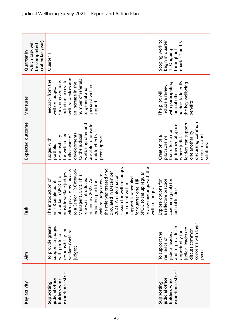| (calendar year)<br>which task will<br>be completed<br>Quarter in | Quarter                                                                                                                                                                                                                                                                                                                                                                                                                                                                                                                                        | Scoping work to<br>begin in quarter<br>quarter 2 and 3.<br>throughout<br>1. Ongoing                                                                                                   |
|------------------------------------------------------------------|------------------------------------------------------------------------------------------------------------------------------------------------------------------------------------------------------------------------------------------------------------------------------------------------------------------------------------------------------------------------------------------------------------------------------------------------------------------------------------------------------------------------------------------------|---------------------------------------------------------------------------------------------------------------------------------------------------------------------------------------|
| Measures                                                         | welfare services and<br>number of referrals<br>including access to<br>Feedback from the<br>Early interventions<br>an increase in the<br>specialist welfare<br>welfare judges.<br>to general and<br>support.                                                                                                                                                                                                                                                                                                                                    | holders to identify<br>with participating<br>the key wellbeing<br>include a review<br>judicial office<br>The pilot will<br>benefits                                                   |
| Expected outcome                                                 | wellbeing offer and<br>are able to provide<br>quick, effective<br>for welfare are<br>developments<br>to the judicial<br>fully aware of<br>peer support.<br>responsibility<br>Judges with<br>portfolio                                                                                                                                                                                                                                                                                                                                          | discussing common<br>leaders can support<br>udgemental space<br>that offers a non-<br>one another by<br>where judicial<br>concerns and<br>Creation of a<br>pilot scheme<br>solutions. |
| Task                                                             | session for welfare judges<br>review meetings with the<br>Senior HR Casework<br>the role was created and<br>with quick, direct access<br>circulated in December<br>SPOC to set up regular<br>provide welfare judges<br>welfare judges new to<br>I. An information<br>Manager (SCM). This<br>of contact (SPOC) to<br>support is scheduled<br>in January 2022. An<br>role was introduced<br>introduction of<br>for quarter one. HR<br>induction pack for<br>an HR single point<br>on current welfare<br>welfare judges.<br>2021<br>The i<br>to a | a reflective practice<br>coaching (pilot) for<br>Explore options for<br>judicial leaders.                                                                                             |
| Aim                                                              | To provide greater<br>support to judges<br>responsibility for<br>welfare (welfare<br>with portfolio<br>judges)                                                                                                                                                                                                                                                                                                                                                                                                                                 | concerns with their<br>and to provide an<br>judicial leaders to<br>discuss common<br>opportunity for<br>To support the<br>judicial leaders<br>resilience of<br>peers.                 |
| Key activity                                                     | experience stress<br>judicial office<br>holders who<br>Supporting                                                                                                                                                                                                                                                                                                                                                                                                                                                                              | experience stress<br>judicial office<br>holders who<br>Supporting                                                                                                                     |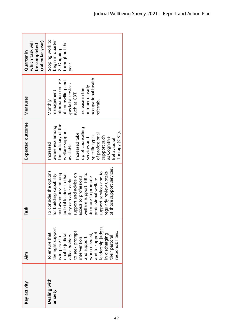| Key activity            | <b>Aim</b>                                                                                                                                                                                                                                                 | Task                                                                                                                                                                                                                                                                                                                                         | Expected outcome                                                                                                                                                                                                                                                | Measures                                                                                                                                                                            | (calendar year)<br>which task will<br>be completed<br>Quarter in             |
|-------------------------|------------------------------------------------------------------------------------------------------------------------------------------------------------------------------------------------------------------------------------------------------------|----------------------------------------------------------------------------------------------------------------------------------------------------------------------------------------------------------------------------------------------------------------------------------------------------------------------------------------------|-----------------------------------------------------------------------------------------------------------------------------------------------------------------------------------------------------------------------------------------------------------------|-------------------------------------------------------------------------------------------------------------------------------------------------------------------------------------|------------------------------------------------------------------------------|
| Dealing with<br>anxiety | leadership judges<br>the right support<br>is in place to<br>to seek prompt<br>and to support<br>responsibilities.<br>To ensure that<br>in discharging<br>when needed,<br>enable judicial<br>office holders<br>their pastoral<br>and support<br>ntervention | of those support services.<br>To consider the options<br>regularly review uptake<br>support services and to<br>and awareness among<br>welfare support. HR to<br>judicial leaders so that<br>they can offer early<br>support and advise on<br>for building capability<br>access to professional<br>do more to promote<br>professional welfare | the judiciary of the<br>awareness among<br>up of counselling<br>welfare support<br>Therapy ( $\mathsf{CBT}$ ).<br>Increased take<br>of professional<br>specific types<br>support such<br>as Cognitive<br>services and<br>Behavioural<br>Increased<br>available. | occupational health<br>information on use<br>of counselling and<br>specialist services<br>number of early<br>Increase in the<br>management<br>such as CBT.<br>Monthly<br>referrals. | Scoping work to<br>begin in quarter<br>throughout the<br>2. Ongoing<br>year. |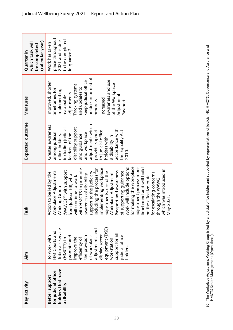| Expected outcome                                                                                                                                                                                                                                                                   | Action to be led by the                                                                                                                                                                                                                                                                                                                                                                                                                                                                                                                                                                                              |
|------------------------------------------------------------------------------------------------------------------------------------------------------------------------------------------------------------------------------------------------------------------------------------|----------------------------------------------------------------------------------------------------------------------------------------------------------------------------------------------------------------------------------------------------------------------------------------------------------------------------------------------------------------------------------------------------------------------------------------------------------------------------------------------------------------------------------------------------------------------------------------------------------------------|
| Greater awareness                                                                                                                                                                                                                                                                  | Task                                                                                                                                                                                                                                                                                                                                                                                                                                                                                                                                                                                                                 |
| adjustments which<br>disability support<br>including judicial<br>accordance with<br>provide support<br>the Equality Act<br>to judicial office<br>and workplace<br>among judicial<br>leaders, of the<br>and guidance<br>office holders,<br>a disability in<br>holders with<br>2010. | for making the workplace<br>Work will include options<br>adjustment process more<br>timebound and will build<br>implementing workplace<br>with HMCTS to promote<br>including the process for<br>which was introduced in<br>(WAWG) <sup>30</sup> with support<br>of supporting guidance.<br>Passport and awareness<br>Workplace Adjustments<br>adjustments, use of the<br>support to the judiciary<br>for escalating concerns<br>Workplace Adjustment<br>eness of disability<br>from Judicial HR, who<br>will continue to work<br>on the effective route<br>through the WAWG,<br>Working Group<br>2021<br>awar<br>Nay |

<sup>30</sup> The Workplace Adjustment Working Group is led by a judicial office holder and supported by representatives of Judicial HR, HMCTS, Governance and Assurance and<br>HMCTS Senior Management (Operational). 30 The Workplace Adjustment Working Group is led by a judicial office holder and supported by representatives of Judicial HR, HMCTS, Governance and Assurance and HMCTS Senior Management (Operational).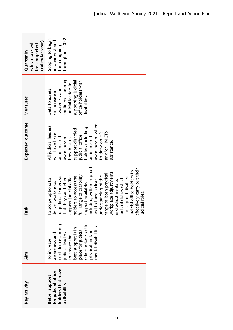| Key activity                                                               | Aim                                                                                                                                                                                                 | Task                                                                                                                                                                                                                                                                                                                                                                                                                                                                                            | Expected outcome                                                                                                                                                                                                                       | Measures                                                                                                                                                    | (calendar year)<br>which task will<br>be completed<br>Quarter in         |
|----------------------------------------------------------------------------|-----------------------------------------------------------------------------------------------------------------------------------------------------------------------------------------------------|-------------------------------------------------------------------------------------------------------------------------------------------------------------------------------------------------------------------------------------------------------------------------------------------------------------------------------------------------------------------------------------------------------------------------------------------------------------------------------------------------|----------------------------------------------------------------------------------------------------------------------------------------------------------------------------------------------------------------------------------------|-------------------------------------------------------------------------------------------------------------------------------------------------------------|--------------------------------------------------------------------------|
| holders that have<br>for judicial office<br>Better support<br>a disability | confidence among<br>mental disabilities.<br>office holders with<br>best support is in<br>place for judicial<br>physical and/or<br>awareness and<br>judicial leaders<br>to ensure the<br>To increase | support available,<br>including welfare support<br>effectively carry out their<br>judicial office holders to<br>workplace adjustments<br>range of both physical<br>support judicial office<br>holders to access the<br>full range of disability<br>understanding of the<br>can support disabled<br>for judicial leaders so<br>judicial duties which<br>that they can better<br>To scope options to<br>adjustments to<br>and to have a clear<br>deliver workshops<br>icial roles.<br>and<br>judi | awareness of when<br>All judicial leaders<br>holders including<br>support disabled<br>and/or HMCTS<br>to draw on HR<br>will have have<br>judicial office<br>awareness of<br>an increased<br>an increased<br>how best to<br>assistance. | confidence among<br>office holders with<br>supporting judicial<br>judicial leaders in<br>awareness and<br>Data to assess<br>an increase in<br>disabilities. | throughout 2022.<br>Scoping to begin<br>in quarter 2 and<br>then ongoing |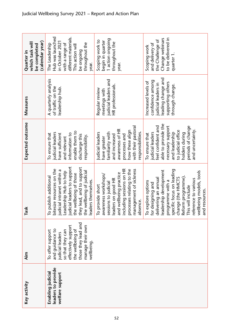| Key activity                                               | Aim                                                                                                                                                                             | Task                                                                                                                                                                                                                                                                              | Expected outcome                                                                                                                                                                                        | Measures                                                                                                                    | (calendar year)<br>which task will<br>be completed<br>Quarter in                                                                                              |
|------------------------------------------------------------|---------------------------------------------------------------------------------------------------------------------------------------------------------------------------------|-----------------------------------------------------------------------------------------------------------------------------------------------------------------------------------------------------------------------------------------------------------------------------------|---------------------------------------------------------------------------------------------------------------------------------------------------------------------------------------------------------|-----------------------------------------------------------------------------------------------------------------------------|---------------------------------------------------------------------------------------------------------------------------------------------------------------|
| leaders to provide<br>Enabling judicial<br>welfare support | those they lead and<br>effectively support<br>manage their own<br>and guidance to<br>the wellbeing of<br>To offer support<br>so that they can<br>judicial leaders<br>wellbeing. | judicial leaders to support<br>they lead, and to support<br>bitesize resources on the<br>judicial intranet within a<br>the wellbeing of judicial<br>Leadership Hub to help<br>the wellbeing of those<br>To publish additional<br>leaders themselves.                              | enable them to<br>judicial leaders<br>information to<br>have sufficient<br>To ensure that<br>discharge this<br>responsibility.<br>and relevant                                                          | A quarterly analysis<br>of traffic on the<br>leadership hub.                                                                | Hub was launched<br>different materials.<br>in October 2021<br>throughout the<br>with a range of<br>The Leadership<br>This action will<br>be ongoing<br>year. |
|                                                            |                                                                                                                                                                                 | including sessions on HR<br>processes relating to the<br>management of sickness<br>and wellbeing practice<br>awareness workshops/<br>leaders on good HR<br>sessions to judicial<br>To provide short<br>absence.                                                                   | with their pastoral<br>awareness of HR<br>how these align<br>responsibilities.<br>familiarity with<br>Judicial leaders<br>processes and<br>and increased<br>have greater                                | judicial leaders and<br>HR professionals.<br>Regular review<br>meetings with                                                | 1 action ongoing<br>Scoping work to<br>begin in quarter<br>throughout the<br>year.                                                                            |
|                                                            |                                                                                                                                                                                 | specific focus on leading<br>leadership development<br>wellbeing models, tools<br>Reform programme)<br>change (the HMCTS<br>delivering an annual<br>reference to various<br>programme with a<br>To explore options<br>for designing and<br>This will include<br>resources.<br>and | able to provide the<br>periods of change<br>feel confident and<br>necessary support<br>and uncertainty.<br>to judicial office<br>judicial leaders<br>and leadership<br>holders during<br>To ensure that | eading change and<br>confidence among<br>Increased levels of<br>supporting others<br>judicial leaders in<br>through change. | Change webinars<br>to be delivered in<br>the Challenge of<br>and delivery of<br>Scoping work<br>quarter 1.                                                    |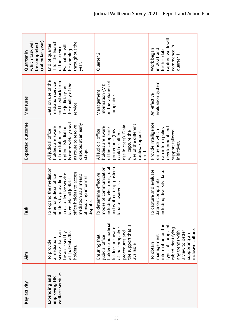| Key activity                                      | Aim                                                                                                                                                                      | Task                                                                                                                                                                                                                         | Expected outcome                                                                                                                                                                                       | Measures                                                                                                           | (calendar year)<br>which task will<br>be completed<br>Quarter in                                                  |
|---------------------------------------------------|--------------------------------------------------------------------------------------------------------------------------------------------------------------------------|------------------------------------------------------------------------------------------------------------------------------------------------------------------------------------------------------------------------------|--------------------------------------------------------------------------------------------------------------------------------------------------------------------------------------------------------|--------------------------------------------------------------------------------------------------------------------|-------------------------------------------------------------------------------------------------------------------|
| welfare services<br>Extending and<br>improving HR | all judicial office<br>service that can<br>be accessed by<br>a mediation<br>To provide<br>holders.                                                                       | To expand the mediation<br>office holders to access<br>a cost-effective service<br>mediation as a means<br>offer for judicial office<br>holders by providing<br>of resolving informal<br>to enable all judicial<br>disputes. | is more widely used<br>disputes at an early<br>as route to resolve<br>of mediation as an<br>option. Mediation<br>holders are aware<br>All judicial office<br>stage.                                    | and feedback from<br>Data on use of the<br>mediation service<br>the quality of the<br>the judiciary on<br>service. | 1 for the launch<br>throughout the<br>End of quarter<br>Evaluation will<br>of the service.<br>be ongoing<br>year. |
|                                                   | holders and judicial<br>the support that is<br>of the complaints<br>leaders are aware<br>procedures and<br>Ensuring that<br>judicial office<br>available.                | modes of communication<br>including; electronic, oral<br>and written (e.g. posters)<br>To determine effective<br>to raise awareness.                                                                                         | use of the different<br>rise in cases). Data<br>holders are aware<br>of the complaints<br>All Judicial office<br>procedures (this<br>could result in a<br>will capture the<br>routes/ support<br>used. | on the volumes of<br>information (MI)<br>Management<br>complaints.                                                 | Quarter 2.                                                                                                        |
|                                                   | types of complaints<br>information on the<br>raised identifying<br>inclusive culture.<br>any trends with<br>a view to better<br>supporting an<br>management<br>To obtain | To capture and evaluate<br>including diversity data.<br>on complaints<br>data                                                                                                                                                | Provide intelligence<br>development and<br>can inform policy<br>on trends which<br>support tailored<br>initiatives.                                                                                    | evaluation system.<br>An effective                                                                                 | capture work will<br>commence in<br>in 2021 and<br>Work began<br>further data<br>quarter 1.                       |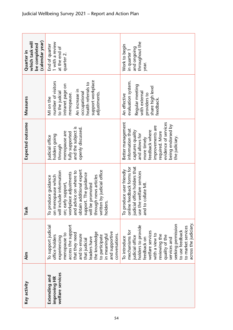| Key activity                                      | <b>Aim</b>                                                                                                                                                                                                                                                              | Task                                                                                                                                                                                                                                                                                                                     | Expected outcome                                                                                                                                                                                                  | Measures                                                                                                                                                                          | (calendar year)<br>which task will<br>be completed<br>Quarter in        |
|---------------------------------------------------|-------------------------------------------------------------------------------------------------------------------------------------------------------------------------------------------------------------------------------------------------------------------------|--------------------------------------------------------------------------------------------------------------------------------------------------------------------------------------------------------------------------------------------------------------------------------------------------------------------------|-------------------------------------------------------------------------------------------------------------------------------------------------------------------------------------------------------------------|-----------------------------------------------------------------------------------------------------------------------------------------------------------------------------------|-------------------------------------------------------------------------|
| welfare services<br>Extending and<br>improving HR | access the support<br>To support judicial<br>the knowledge<br>and supportive<br>that they need<br>menopause to<br>conversations.<br>and to ensure<br>in meaningful<br>office holders<br>to participate<br>experiencing<br>leaders have<br>that judicial                 | obtain additional expert<br>written by judicial office<br>will include information<br>and advice on where to<br>workplace adjustments<br>support. The guidance<br>through news articles<br>on menopause which<br>To produce guidance<br>early support,<br>be promoted<br>ers.<br>blold<br>$\overline{\mathbf{v}}$<br>on; | and the subject is<br>openly discussed.<br>menopause are<br>fully supported<br>holders going<br>Judicial office<br>through                                                                                        | support workplace<br>number of visitors<br>health referrals to<br>intranet page on<br>An increase in<br>to the judcial<br>occupational<br>adjustments.<br>menopause.<br>MI on the | 1 with a review<br>End of quarter<br>at the end of<br>quarter 2.        |
|                                                   | across the judiciary.<br>seeking permission<br>holders to provide<br>to market services<br>mechanisms for<br>to use feedback<br>welfare services<br>with a view to<br>reviewing the<br>quality of the<br>judicial office<br>To introduce<br>services and<br>feedback on | judicial office holders that<br>online feedback forms for<br>To produce user friendly<br>use the welfare services<br>to collate MI.<br>and                                                                                                                                                                               | Better management<br>evidence of services<br>being endorsed by<br>improvements are<br>information that<br>feedback where<br>captures quality<br>required. More<br>and allows for<br>the judiciary.<br>more timely | evaluation system.<br>Regular meeting<br>share high level<br>with external<br>providers to<br>An effective<br>feedback                                                            | throughout the<br>Work to begin<br>and ongoing<br>in quarter 1<br>year. |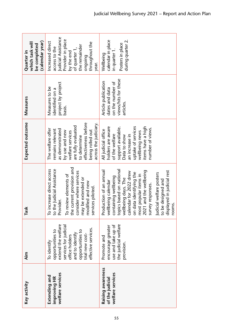| Key activity                                             | Aim                                                                                                                                                                              | Task                                                                                                                                                                                                                                                                                                                                            | Expected outcome                                                                                                                                                                                           | Measures                                                                                       | (calendar year)<br>which task will<br>be completed<br>Quarter in                                                                                                    |
|----------------------------------------------------------|----------------------------------------------------------------------------------------------------------------------------------------------------------------------------------|-------------------------------------------------------------------------------------------------------------------------------------------------------------------------------------------------------------------------------------------------------------------------------------------------------------------------------------------------|------------------------------------------------------------------------------------------------------------------------------------------------------------------------------------------------------------|------------------------------------------------------------------------------------------------|---------------------------------------------------------------------------------------------------------------------------------------------------------------------|
| welfare services<br>Extending and<br>improving HR        | extend the welfare<br>services for judicia<br>effective services.<br>opportunities to<br>opportunities to<br>and to identify<br>trial new cost-<br>office holders<br>To identify | the current provision and<br>he Judicial Assistance<br>To increase direct access<br>consider where services<br>To review elements of<br>may be extended or<br>modified and new<br>services piloted.<br>Provider.<br>$\frac{11}{2}$                                                                                                              | effectiveness before<br>across the judiciary.<br>are fully evaluated<br>The welfare offer<br>as demonstrated<br>remains relevant<br>being rolled out<br>by use and new<br>welfare services<br>to determine | project by project<br>Measures to be<br>identified on a<br>basis.                              | Judicial Assistance<br>Provider in place<br>Increased direct<br>throughout the<br>the remainder<br>access to the<br>of quarter 1,<br>by the end<br>puiopuo<br>year. |
| Raising awareness<br>welfare services<br>of the judicial | the judicial welfare<br>use and take up of<br>encourage greater<br>Promote and<br>provision.                                                                                     | topics based on national<br>displayed in judicial rest<br>Production of an annual<br>most popular items in<br>2021 and the wellbeing<br>calendar for 2022 drew<br>on data identifying the<br>Judicial welfare posters<br>containing wellbeing<br>wellbeing days. The<br>to be designed and<br>wellbeing calendar<br>survey responses.<br>rooms. | uptake of services<br>items have a high<br>holders are aware<br>support available.<br>number of views.<br>All judicial office<br>wellbeing news<br>of the welfare<br>an increase in<br>Data to show        | views/hits for these<br>Article publication<br>on the number of<br>dates and data<br>articles. | calendar in place<br>during quarter 2.<br>Posters in place<br>in quarter 1.<br>Wellbeing                                                                            |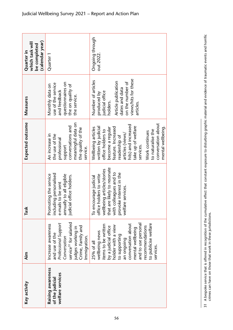| Key activity                                            | Aim                                                                                                                                                                                                                                                       | Task                                                                                                                                                                                    | Expected outcome                                                                                                                                                                                                                                                                          | Measures                                                                                                                                                           | (calendar year)<br>which task will<br>be completed<br>Quarter in |
|---------------------------------------------------------|-----------------------------------------------------------------------------------------------------------------------------------------------------------------------------------------------------------------------------------------------------------|-----------------------------------------------------------------------------------------------------------------------------------------------------------------------------------------|-------------------------------------------------------------------------------------------------------------------------------------------------------------------------------------------------------------------------------------------------------------------------------------------|--------------------------------------------------------------------------------------------------------------------------------------------------------------------|------------------------------------------------------------------|
| Raising awareness<br>welfare services<br>of the judicia | service <sup>31</sup> for salaried<br>Professional Support<br>Increase awareness<br>Crime, Family and<br>judges working in<br>and use of the<br>Immigration.<br>Conversation                                                                              | including personalised<br>Promoting the service<br>annually to all eligible<br>judicial office holders.<br>e-mails to be sent                                                           | meaningful data on<br>conversations and<br>the quality of the<br>An increase in<br>the use of the<br>professional<br>support<br>service.                                                                                                                                                  | questionnaires on<br>use of the service<br>the on quality of<br>Monthly data on<br>and feedback<br>the service.                                                    | Quarter 1                                                        |
|                                                         | conversation about<br>to publicise welfare<br>and to use personal<br>items to be written<br>holder with a view<br>recommendations<br>by a judicial office<br>mental wellbeing<br>wellbeing news<br>to supporting<br>an ongoing<br>25% of all<br>services. | that are likely to resonate<br>wellbeing articles/stories<br>with colleagues and to<br>provoke interest in the<br>office holders to write<br>To encourage judicial<br>welfare services. | conversation about<br>hits) and increased<br>mental wellbeing.<br>take up of welfare<br>written by judicial<br>feature. Increased<br>Wellbeing articles<br>become a regular<br>office holders to<br>to naturalise the<br>Work continues<br>articles (views/<br>readership of<br>services. | views/hits for these<br>Number of articles<br>Article publication<br>on the number of<br>dates and data<br>judicial office<br>produced by<br>holders.<br>articles. | Ongoing through<br>out 2022.                                     |

31 A bespoke service that is offered in recognition of the cumulative effect that constant exposure to disturbing graphic material and evidence of traumatic events and horrific<br>crimes can have on those that work in these j 31 A bespoke service that is offered in recognition of the cumulative effect that constant exposure to disturbing graphic material and evidence of traumatic events and horrific crimes can have on those that work in these jurisdictions.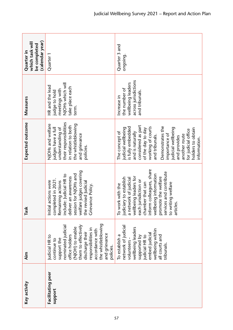| (calendar year)<br>which task will<br>be completed<br>Quarter in | Quarter 1                                                                                                                                                                                                                                        | Quarter 3 and<br>ongoing                                                                                                                                                                                                                                                                                                |
|------------------------------------------------------------------|--------------------------------------------------------------------------------------------------------------------------------------------------------------------------------------------------------------------------------------------------|-------------------------------------------------------------------------------------------------------------------------------------------------------------------------------------------------------------------------------------------------------------------------------------------------------------------------|
| Measures                                                         | NJOHs which will<br>HR and the lead<br>take place each<br>meetings with<br>judge to hold<br>term.                                                                                                                                                | across jurisdictions<br>wellbeing leaders<br>the number of<br>and tribunals.<br>Increase in                                                                                                                                                                                                                             |
| Expected outcome                                                 | their responsibilities<br>NIOHs and welfare<br>the whistleblowing<br>in relation to both<br>judges have a full<br>understanding of<br>and grievance<br>policies.                                                                                 | considered as part<br>Demonstrates the<br>is fully embedded<br>working of courts<br>judicial wellbeing<br>judicial wellbeing<br>holders to obtain<br>of the day to day<br>for judicial office<br>and is naturally<br>The concept of<br>importance of<br>another route<br>and tribunals.<br>and provides<br>information. |
| Task                                                             | welfare judges covering<br>session for NJOHs and<br>include: Judicial HR to<br>deliver an awareness<br>Initial actions were<br>completed in 2021<br>Remaining actions<br>the revised Judicial<br><b>Crievance Policy.</b>                        | inform colleagues, share<br>services and contribute<br>wellbeing information<br>wellbeing leaders for<br>promote the welfare<br>judiciary to establish<br>a network of judicial<br>each jurisdiction or<br>chamber that can<br>to writing welfare<br>To work with the<br><u>ies</u> .<br>articl                         |
| <b>Aim</b>                                                       | the whistleblowing<br>them to effectively<br>nominated judicial<br>(NJOH) to enable<br>responsibilities in<br>accordance with<br>discharge their<br>and grievance<br>office holders<br>Judicial HR to<br>support the<br>continue to<br>policies. | network of judicial<br>wellbeing leaders<br>wellbeing within<br>embed judicia<br>To establish a<br>all courts and<br>judicial HR to<br>supported by<br>volunteers<br>tribunals                                                                                                                                          |
| Key activity                                                     | Facilitating peer<br>support                                                                                                                                                                                                                     |                                                                                                                                                                                                                                                                                                                         |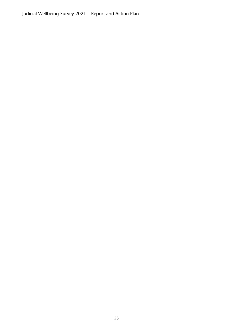Judicial Wellbeing Survey 2021 – Report and Action Plan